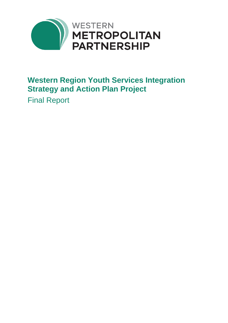

## **Western Region Youth Services Integration Strategy and Action Plan Project**

Final Report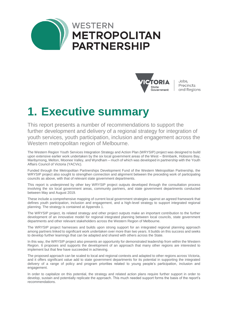



Jobs, Precincts and Regions

## **1. Executive summary**

This report presents a number of recommendations to support the further development and delivery of a regional strategy for integration of youth services, youth participation, inclusion and engagement across the Western metropolitan region of Melbourne.

The Western Region Youth Services Integration Strategy and Action Plan (WRYSIP) project was designed to build upon extensive earlier work undertaken by the six local government areas of the West – Brimbank, Hobsons Bay, Maribyrnong, Melton, Moonee Valley, and Wyndham – much of which was developed in partnership with the Youth Affairs Council of Victoria (YACVic).

Funded through the Metropolitan Partnerships Development Fund of the Western Metropolitan Partnership, the WRYSIP project also sought to strengthen connection and alignment between the preceding work of participating councils as above, with that of relevant state government departments.

This report is underpinned by other key WRYSIP project outputs developed through the consultation process involving the six local government areas, community partners, and state government departments conducted between May and August 2019.

These include a comprehensive mapping of current local government strategies against an agreed framework that defines youth participation, inclusion and engagement, and a high-level strategy to support integrated regional planning. The strategy is contained at Appendix 1.

The WRYSIP project, its related strategy and other project outputs make an important contribution to the further development of an innovative model for regional integrated planning between local councils, state government departments and other relevant stakeholders across the Western Region of Melbourne.

The WRYSIP project harnesses and builds upon strong support for an integrated regional planning approach among partners linked to significant work undertaken over more than two years. It builds on this success and seeks to develop further learnings that can be adapted and shared with others across the State.

In this way, the WRYSIP project also presents an opportunity for demonstrated leadership from within the Western Region. It proposes and supports the development of an approach that many other regions are interested to implement but that few have succeeded in achieving.

The proposed approach can be scaled to local and regional contexts and adapted to other regions across Victoria, and it offers significant value add to state government departments for its potential in supporting the integrated delivery of a range of policy and program priorities related to young people's participation, inclusion and engagement.

In order to capitalize on this potential, the strategy and related action plans require further support in order to develop, sustain and potentially replicate the approach. This much needed support forms the basis of the report's recommendations.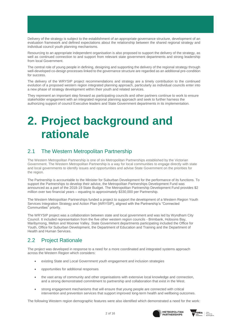Delivery of the strategy is subject to the establishment of an appropriate governance structure, development of an evaluation framework and defined expectations about the relationship between the shared regional strategy and individual council youth planning mechanisms.

Resourcing to an appropriate independent organisation is also proposed to support the delivery of the strategy, as well as continued connection to and support from relevant state government departments and strong leadership from local Government.

The central role of young people in defining, designing and supporting the delivery of the regional strategy through well-developed co-design processes linked to the governance structure are regarded as an additional pre-condition for success.

The delivery of the WRYSIP project recommendations and strategy are a timely contribution to the continued evolution of a proposed western region integrated planning approach, particularly as individual councils enter into a new phase of strategy development within their youth and related services.

They represent an important step forward as participating councils and other partners continue to work to ensure stakeholder engagement with an integrated regional planning approach and seek to further harness the authorizing support of council Executive leaders and State Government departments in its implementation.

## **2. Project background and rationale**

#### 2.1 The Western Metropolitan Partnership

The Western Metropolitan Partnership is one of six Metropolitan Partnerships established by the Victorian Government. The Western Metropolitan Partnership is a way for local communities to engage directly with state and local governments to identify issues and opportunities and advise State Government on the priorities for the region.

The Partnership is accountable to the Minister for Suburban Development for the performance of its functions. To support the Partnerships to develop their advice, the Metropolitan Partnerships Development Fund was announced as a part of the 2018-19 State Budget. The Metropolitan Partnership Development Fund provides \$2 million over two financial years – equating to approximately \$330,000 per Partnership.

The Western Metropolitan Partnerships funded a project to support the development of a Western Region Youth Services Integration Strategy and Action Plan (WRYSIP), aligned with the Partnership's "Connected Communities" priority.

The WRYSIP project was a collaboration between state and local government and was led by Wyndham City Council. It included representation from the five other western region councils - Brimbank, Hobsons Bay, Maribyrnong, Melton and Moonee Valley. State Government departments participating included the Office for Youth, Office for Suburban Development, the Department of Education and Training and the Department of Health and Human Services.

#### 2.2 Project Rationale

The project was developed in response to a need for a more coordinated and integrated systems approach across the Western Region which considers:

- existing State and Local Government youth engagement and inclusion strategies
- opportunities for additional responses
- the vast array of community and other organisations with extensive local knowledge and connection, and a strong demonstrated commitment to partnership and collaboration that exist in the West.
- strong engagement mechanisms that will ensure that young people are connected with critical intervention and prevention services that support improved long-term health and wellbeing outcomes.

The following Western region demographic features were also identified which demonstrated a need for the work:



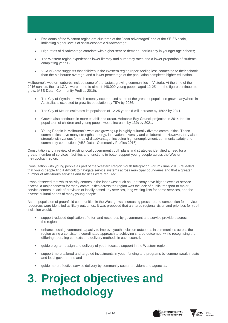- Residents of the Western region are clustered at the 'least advantaged' end of the SEIFA scale, indicating higher levels of socio-economic disadvantage;
- High rates of disadvantage correlate with higher service demand, particularly in younger age cohorts;
- The Western region experiences lower literacy and numeracy rates and a lower proportion of students completing year 12;
- VCAMS data suggests that children in the Western region report feeling less connected to their schools than the Melbourne average, and a lower percentage of the population completes higher education.

Melbourne's western suburbs include some of the fastest growing communities in Victoria. At the time of the 2016 census, the six LGA's were home to almost 148,000 young people aged 12-25 and the figure continues to grow. (ABS Data - Community Profiles 2016):

- The City of Wyndham, which recently experienced some of the greatest population growth anywhere in Australia, is expected to grow its population by 75% by 2036.
- The City of Melton estimates its population of 12-25 year old will increase by 150% by 2041.
- Growth also continues in more established areas. Hobson's Bay Council projected in 2014 that its population of children and young people would increase by 13% by 2021.
- Young People in Melbourne's west are growing up in highly culturally diverse communities. These communities have many strengths, energy, innovation, diversity and collaboration. However, they also struggle with various form as of disadvantage, including high unemployment, community safety and community connection. (ABS Data - Community Profiles 2016)

Consultation and a review of existing local government youth plans and strategies identified a need for a greater number of services, facilities and functions to better support young people across the Western metropolitan region.

Consultation with young people as part of the Western Region Youth Integration Forum (June 2018) revealed that young people find it difficult to navigate service systems across municipal boundaries and that a greater number of after-hours services and facilities were required.

It was observed that whilst activity centres in the inner west such as Footscray have higher levels of service access, a major concern for many communities across the region was the lack of public transport to major service centres, a lack of provision of locally based key services, long waiting lists for some services, and the diverse cultural needs of many young people.

As the population of greenfield communities in the West grows, increasing pressure and competition for service resources were identified as likely outcomes. It was proposed that a shared regional vision and priorities for youth inclusion would:

- support reduced duplication of effort and resources by government and service providers across the region;
- enhance local government capacity to improve youth inclusion outcomes in communities across the region using a consistent, coordinated approach to achieving shared outcomes, while recognising the differing operating contexts and delivery methods in each council;
- guide program design and delivery of youth focused support in the Western region;
- support more tailored and targeted investments in youth funding and programs by commonwealth, state and local government; and
- guide more effective service delivery by community sector providers and agencies.

# **3. Project objectives and methodology**



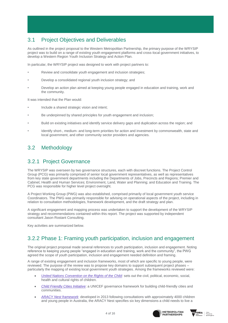### 3.1 Project Objectives and Deliverables

As outlined in the project proposal to the Western Metropolitan Partnership, the primary purpose of the WRYSIP project was to build on a range of existing youth engagement platforms and cross-local government initiatives, to develop a Western Region Youth Inclusion Strategy and Action Plan.

In particular, the WRYSIP project was designed to work with project partners to:

- Review and consolidate youth engagement and inclusion strategies:
- Develop a consolidated regional youth inclusion strategy; and
- Develop an action plan aimed at keeping young people engaged in education and training, work and the community.

It was intended that the Plan would:

- Include a shared strategic vision and intent;
- Be underpinned by shared principles for youth engagement and inclusion;
- Build on existing initiatives and identify service delivery gaps and duplication across the region; and
- Identify short-, medium- and long-term priorities for action and investment by commonwealth, state and local government, and other community sector providers and agencies.

#### 3.2 Methodology

#### 3.2.1 Project Governance

The WRYSIP was overseen by two governance structures, each with discreet functions. The Project Control Group (PCG) was primarily comprised of senior local government representatives, as well as representatives from key state government departments including the Departments of Jobs, Precincts and Regions; Premier and Cabinet; Health and Human Services; Environment, Land, Water and Planning; and Education and Training. The PCG was responsible for higher level project oversight.

A Project Working Group (PWG) was also established, comprised primarily of local government youth service Coordinators. The PWG was primarily responsible for advising on operational aspects of the project, including in relation to consultation methodologies, framework development, and the draft strategy and plan.

A significant engagement and mapping process was undertaken to support the development of the WRYSIP strategy and recommendations contained within this report. The project was supported by independent consultant Jason Rostant Consulting.

Key activities are summarized below.

#### 3.2.2 Phase 1: Framing youth participation, inclusion and engagement

The original project proposal made several references to youth participation, inclusion and engagement. Noting reference to keeping young people "engaged in education and training, work and the community", the PWG agreed the scope of youth participation, inclusion and engagement needed definition and framing.

A range of existing engagement and inclusion frameworks, most of which are specific to young people, were reviewed. The purpose of the review was to propose key domains to support subsequent project phases – particularly the mapping of existing local government youth strategies. Among the frameworks reviewed were:

- [United Nations Convention on the Rights of the Child:](https://www.ohchr.org/en/professionalinterest/pages/crc.aspx) sets out the civil, political, economic, social, health and cultural rights of children.
- *[Child Friendly Cities Initiative](https://childfriendlycities.org/cfci-framework/)*: a UNICEF governance framework for building child-friendly cities and communities.
- *[ARACY Nest framework](https://www.aracy.org.au/publications-resources/command/download_file/id/329/filename/Second_edition_The_Nest_action_agenda.pdf)*: developed in 2013 following consultations with approximately 4000 children and young people in Australia, the ARACY Nest specifies six key dimensions a child needs to live a



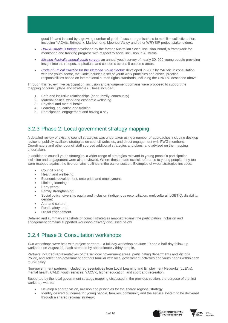good life and is used by a growing number of youth-focused organisations to mobilise collective effort, including YACVic, Brimbank, Maribyrnong, Moonee Valley and other WRYSIP project stakeholders.

- *[How Australia is faring:](http://library.bsl.org.au/jspui/bitstream/1/1513/1/Social_inclusion_how_Australia_is_faring.pdf)* developed by the former Australian Social Inclusion Board, a framework for monitoring and tracking progress with respect to social inclusion in Australia.
- *[Mission Australia annual youth survey](https://www.missionaustralia.com.au/publications/youth-survey/823-mission-australia-youth-survey-report-2018)*: an annual youth survey of nearly 30, 000 young people providing insight into their hopes, aspirations and concerns across 8 outcome areas.
- *[Code of Ethical Practice for the Victorian Youth Sector](https://www.yacvic.org.au/assets/Uploads/The-Code-of-Ethical-Practice.pdf)*: developed in 2007 by YACVic in consultation with the youth sector, the Code includes a set of youth work principles and ethical practice responsibilities based on international human rights standards, including the UNCRC described above.

Through this review, five participation, inclusion and engagement domains were proposed to support the mapping of council plans and strategies. These included:

- 1. Safe and inclusive relationships (peer, family, community)
- 2. Material basics, work and economic wellbeing
- 3. Physical and mental health
- 4. Learning, education and training
- 5. Participation, engagement and having a say

#### 3.2.3 Phase 2: Local government strategy mapping

A detailed review of existing council strategies was undertaken using a number of approaches including desktop review of publicly available strategies on council websites, and direct engagement with PWG members. Coordinators and other council staff sourced additional strategies and plans, and advised on the mapping undertaken.

In addition to council youth strategies, a wider range of strategies relevant to young people's participation, inclusion and engagement were also reviewed. Where these made explicit reference to young people, they too were mapped against the five domains outlined in the earlier section. Examples of wider strategies included:

- Council plans;
- Health and wellbeing;
- Economic development, enterprise and employment;
- Lifelong learning;
- Early years;
- Family strengthening;
- Social policy, diversity, equity and inclusion (Indigenous reconciliation, multicultural, LGBTIQ, disability, gender)
- Arts and culture;
- Road safety; and
- Digital engagement.

Detailed and summary snapshots of council strategies mapped against the participation, inclusion and engagement domains supported workshop delivery discussed below.

#### 3.2.4 Phase 3: Consultation workshops

Two workshops were held with project partners – a full day workshop on June 19 and a half-day follow-up workshop on August 13, each attended by approximately thirty people.

Partners included representatives of the six local government areas, participating departments and Victoria Police, and select non-government partners familiar with local government activities and youth needs within each municipality.

Non-government partners included representatives from Local Learning and Employment Networks (LLENs), mental health, CALD, youth services, YACVic, higher education, and sport and recreation.

Supported by the local government strategy mapping discussed in the previous section, the purpose of the first workshop was to:

- Develop a shared vision, mission and principles for the shared regional strategy;
- Identify desired outcomes for young people, families, community and the service system to be delivered through a shared regional strategy;



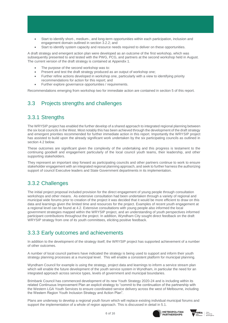- Start to identify short-, medium-, and long-term opportunities within each participation, inclusion and engagement domain outlined in section 3.2.2; and
- Start to identify system capacity and resource needs required to deliver on these opportunities.

A draft strategy and emergent action plan were developed as an outcome of the first workshop, which was subsequently presented to and tested with the PWG, PCG, and partners at the second workshop held in August. The current version of the draft strategy is contained at Appendix 1.

- The purpose of the second workshop was to:
- Present and test the draft strategy produced as an output of workshop one;
- Further refine actions developed in workshop one, particularly with a view to identifying priority recommendations for action for this report; and
- Further explore governance opportunities / requirements.

Recommendations emerging from workshop two for immediate action are contained in section 5 of this report.

#### 3.3 Projects strengths and challenges

#### 3.3.1 Strengths

The WRYSIP project has enabled the further develop of a shared approach to integrated regional planning between the six local councils in the West. Most notably this has been achieved through the development of the draft strategy and emergent priorities recommended for further immediate action in this report. Importantly the WRYSIP project has assisted to build upon the already significant work undertaken by the six participating councils as outlined in section 4.2 below.

These outcomes are significant given the complexity of the undertaking and this progress is testament to the continuing goodwill and engagement particularly of the local council youth teams, their leadership, and other supporting stakeholders.

They represent an important step forward as participating councils and other partners continue to work to ensure stakeholder engagement with an integrated regional planning approach, and seek to further harness the authorizing support of council Executive leaders and State Government departments in its implementation.

#### 3.3.2 Challenges

The initial project proposal included provision for the direct engagement of young people through consultation workshops and other means. As extensive consultation had been undertaken through a variety of regional and municipal wide forums prior to creation of the project it was decided that it would be more efficient to draw on this data and learnings given the limited time and resources for the project. Examples of recent youth engagement at a regional level can be found at 4.2. Extensive consultations with young people also informed the local government strategies mapped within the WRYSIP project, and an understanding of youth perspectives informed participant contributions throughout the project. In addition, Wyndham City sought direct feedback on the draft WRYSIP strategy from one of its youth committees, eliciting positive feedback.

#### 3.3.3 Early outcomes and achievements

In addition to the development of the strategy itself, the WRYSIP project has supported achievement of a number of other outcomes.

A number of local council partners have indicated the strategy is being used to support and inform their youth strategy planning processes at a municipal level. This will enable a consistent platform for municipal planning.

Wyndham Council for example is using the strategy, project data and learnings to inform a service stream plan which will enable the future development of the youth service system in Wyndham, in particular the need for an integrated approach across service types, levels of government and municipal boundaries.

Brimbank Council has commenced development of its new Youth Strategy 2020-24 and is including within its related Continuous Improvement Plan an explicit strategy to "commit to the continuation of the partnership with the Western LGA Youth Services to ensure coordinated service delivery across the west of Melbourne, including the Western Region Youth Inclusion Strategy and Action Plan".

Plans are underway to develop a regional youth forum which will replace existing individual municipal forums and support the implementation of a whole of region approach. This is discussed in detail in 5.1.



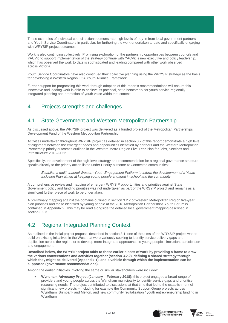These examples of individual council actions demonstrate high levels of buy-in from local government partners and Youth Service Coordinators in particular, for furthering the work undertaken to date and specifically engaging with WRYSIP project outcomes.

Work is also continuing collectively. Promising exploration of the partnership opportunities between councils and YACVic to support implementation of the strategy continue with YACVic's new executive and policy leadership, which has observed the work to date is sophisticated and leading compared with other work observed across Victoria.

Youth Service Coordinators have also continued their collective planning using the WRYSIP strategy as the basis for developing a Western Region LGA Youth Alliance Framework.

Further support for progressing this work through adoption of this report's recommendations will ensure this innovative and leading work is able to achieve its potential, set a benchmark for youth service regionally integrated planning and promotion of youth voice within that context.

#### 4. Projects strengths and challenges

#### 4.1 State Government and Western Metropolitan Partnership

As discussed above, the WRYSIP project was delivered as a funded project of the Metropolitan Partnerships Development Fund of the Western Metropolitan Partnership.

Activities undertaken throughout WRYSIP project as detailed in section 3.2 of this report demonstrate a high level of alignment between the emergent needs and opportunities identified by partners and the Western Metropolitan Partnership priority outcomes outlined in the Western Metro Region Five Year Plan for Jobs, Services and Infrastructure 2018–2022.

Specifically, the development of the high-level strategy and recommendation for a regional governance structure speaks directly to the priority action listed under Priority outcome 4: Connected communities:

*Establish a multi-channel Western Youth Engagement Platform to inform the development of a Youth Inclusion Plan aimed at keeping young people engaged in school and the community.*

A comprehensive review and mapping of emergent WRYSIP opportunities and priorities against State Government policy and funding priorities was not undertaken as part of the WRSYIP project and remains as a significant further piece of work to be undertaken.

A preliminary mapping against the domains outlined in section 3.2.2 of Western Metropolitan Region five-year plan priorities and those identified by young people at the 2018 Metropolitan Partnerships Youth Forum is contained in Appendix 2. This may be read alongside the detailed local government mapping described in section 3.2.3.

#### 4.2 Regional Integrated Planning Context

As outlined in the initial project proposal described in section 3.1, one of the aims of the WRYSIP project was to build on existing initiatives in the West that were variously seeking to identify service delivery gaps and duplication across the region, or to develop more integrated approaches to young people's inclusion, participation and engagement.

**Described below, the WRYSIP project adds to these earlier pieces of work by providing a frame to draw the various conversations and activities together (section 3.2.2), defining a shared strategy through which they might be delivered (Appendix 1), and a vehicle through which the implementation can be supported (governance recommendations).** 

Among the earlier initiatives involving the same or similar stakeholders were included:

• **Wyndham Advocacy Project (January – February 2018):** this project engaged a broad range of providers and young people across the Wyndham municipality to identity service gaps and prioritise resourcing needs. The project contributed to discussions at that time that led to the establishment of significant new projects – including for example the Community Support Group projects across Wyndham, Brimbank and Melton, and new community revitalization / youth entrepreneurship funding in Wyndham.



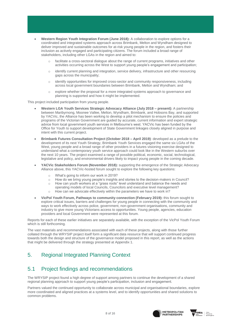- **Western Region Youth Integration Forum (June 2018):** A collaboration to explore options for a coordinated and integrated systems approach across Brimbank, Melton and Wyndham designed to deliver improved and sustainable outcomes for at-risk young people in the region, and fosters their inclusion as actively engaged and participating citizens. The forum included a broad range of stakeholders, including other LGAs in the region and aimed to:
	- facilitate a cross-sectoral dialogue about the range of current programs, initiatives and other activities occurring across the West to support young people's engagement and participation;
	- o identify current planning and integration, service delivery, infrastructure and other resourcing gaps across the municipality;
	- o identify opportunities for improved cross-sector and community responsiveness, including across local government boundaries between Brimbank, Melton and Wyndham; and
	- o explore whether the proposal for a more integrated systems approach to governance and planning is supported and how it might be implemented.

This project included participation from young people.

- **Western LGA Youth Services Strategic Advocacy Alliance (July 2018 – present):** A partnership between Maribyrnong, Moonee Vallee, Melton, Wyndham, Brimbank, and Hobsons Bay, and supported by YACVic, the Alliance has been working to develop a pilot mechanism to ensure the policies and programs of the Victorian Government are guided by accurate, current information and expert strategic advice from local government youth services in Melbourne's west. YACVic has been funded by the Office for Youth to support development of State Government linkages closely aligned in purpose and intent with this current project.
- **Brimbank Futures Consultation Project (October 2018 – April 2019)**: developed as a prelude to the development of its next Youth Strategy, Brimbank Youth Services engaged the same six LGAs of the West, young people and a broad range of other providers in a futures visioning exercise designed to understand what a contemporary youth service approach could look like in the Western suburbs over the next 10 years. The project examined a range of possible political, economic, social, technological, legislative and policy, and environmental drivers likely to impact young people in the coming decade.
- **YACVic Stakeholders Forum (November 2018):** supporting the emergence of the Strategic Advocacy Alliance above, this YACVic-hosted forum sought to explore the following key questions:
	- What's going to inform our work in 2019?
	- o How do we bring young people's insights and stories to the decision-makers in Council?
	- o How can youth workers at a "grass roots" level understand and balance the needs and operating models of local Councils, Councilors and executive level management?
	- o How can we advocate effectively within the parameters we have to work in?
- **VicPol Youth Forum, Pathways to community connection (February 2019):** this forum sought to explore critical issues, barriers and challenges for young people in connecting with the community and ways to work effectively across police, government, non-government organisations, community and industry to give more young Victorians access to opportunities. Young people, agencies, education providers and local Government were represented at this forum.

Reports for each of these earlier initiatives are separately available, with the exception of the VicPol Youth Forum which is still forthcoming.

The vast materials and recommendations associated with each of these projects, along with those further collated through the WRYSIP project itself form a significant data resource that will support continued progress towards both the design and structure of the governance model proposed in this report, as well as the actions that might be delivered through the strategy presented at Appendix 1.

#### 5. Regional Integrated Planning Context

#### 5.1 Project findings and recommendations

The WRYSIP project found a high degree of support among partners to continue the development of a shared regional planning approach to support young people's participation, inclusion and engagement.

Partners valued the continued opportunity to collaborate across municipal and organisational boundaries, explore more coordinated and aligned practices at a systems level, and to identify opportunities and shared solutions to common problems.



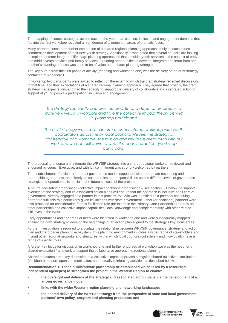The mapping of council strategies across each of the youth participation, inclusion and engagement domains that fed into the first workshop revealed a high degree of alignment in areas of thematic focus.

Many partners considered further exploration of a shared regional planning approach timely as each council commences development of their next youth strategy. Additionally, it was noted that several councils are looking to implement more integrated life stage planning approaches that consider youth services in the context of early and middle years services and family services. Exploring opportunities to develop, integrate and learn from one another's planning process was seen to be of value and a future planning strength.

The key output from this first phase of activity (mapping and workshop one) was the delivery of the draft strategy contained at Appendix 1.

In workshop two participants were invited to reflect on the extent to which the draft strategy reflected discussions to that time, and their expectations of a shared regional planning approach. They agreed that broadly, the draft strategy met expectations and had the capacity to support the delivery of collaborative and integrated action in support of young people's participation, inclusion and engagement:

#### *The strategy succinctly captures the breadth and depth of discussions to date very well. It is workable and I like the collective impact theory behind it. (workshop participant)*

*The draft strategy was used to Inform a further internal workshop with youth coordinators across the six local councils. We feel the strategy is transferrable and workable. The mission and key focus areas align with our work and we can drill down to what it means in practice. (workshop participant)*

The proposal to endorse and integrate the WRYSIP strategy into a shared regional workplan, reviewed and endorsed by council Executive, and with full commitment was strongly welcomed by partners.

The establishment of a clear and robust governance model, supported with appropriate resourcing and partnership agreements, and clearly articulated roles and responsibilities across different levels of governance – strategic and operational, is crucial to the future success of the project.

A neutral facilitating organisation (collective impact backbone organisation – see section 5.1 below) to support oversight of the strategy and its associated action plans will ensure that the approach is inclusive of all tiers of government. Already engaged as a partner in this process, YACVic was identified as a potential continuing partner to fulfil this role particularly given its linkages with state government. Other (or additional) partners were also proposed for consideration for this facilitation role (for example the Primary Care Partnership) to draw on other partnership and collective impact capabilities, local knowledge and complementarity with other related initiatives in the West.

Early opportunities and / or areas of need were identified in workshop one and were subsequently mapped against the draft strategy to develop the beginnings of an action plan aligned to the strategy's key focus areas.

Further investigation is required to articulate the relationship between WRYSIP governance, strategy and action plan and the broader planning ecosystem. This planning environment involves a wider range of stakeholders and myriad other regional networks and structures, within which local councils (collectively and individually) have a range of specific roles.

A further key focus for discussion in workshop one and further endorsed at workshop two was the need for a shared evaluation framework to support the collaborative approach to regional planning.

Shared measures are a key dimension of a collective impact approach alongside shared objectives, facilitation (backbone) support, open communication, and mutually reinforcing activities as described below.

**Recommendation 1: That a public/private partnership be established which is led by a resourced independent agenc(ies) to strengthen the project in the Western Region to enable:**

- **• the oversight and delivery of the strategy and associated action plans via the development of a strong governance model;**
- **• links with the wider Western region planning and networking landscape;**
- **• the shared delivery of the WRYSIP strategy from the perspective of state and local government partners' own policy, program and planning processes; and**



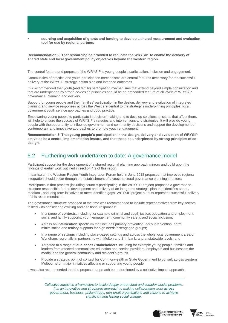**• sourcing and acquisition of grants and funding to develop a shared measurement and evaluation tool for use by regional partners**

#### **Recommendation 2: That resourcing be provided to replicate the WRYSIP to enable the delivery of shared state and local government policy objectives beyond the western region.**

The central feature and purpose of the WRYSIP is young people's participation, inclusion and engagement.

Communities of practice and youth participation mechanisms are central features necessary for the successful delivery of the WRYSIP strategy, action plan and intended outcomes.

It is recommended that youth (and family) participation mechanisms that extend beyond simple consultation and that are underpinned by strong co-design principles should be an embedded feature at all levels of WRYSIP governance, planning and delivery.

Support for young people and their families' participation in the design, delivery and evaluation of integrated planning and service responses across the West are central to the strategy's underpinning principles, local government youth service approaches and good practice.

Empowering young people to participate in decision-making and to develop solutions to issues that affect them, will help to ensure the success of WRYSIP strategies and interventions and strategies. It will provide young people with the opportunity to influence government and community decisions and support the development of contemporary and innovative approaches to promote youth engagement.

**Recommendation 3: That young people's participation in the design, delivery and evaluation of WRYSIP activities be a central implementation feature, and that these be underpinned by strong principles of codesign.**

#### 5.2 Furthering work undertaken to date: A governance model

Participant support for the development of a shared regional planning approach mirrors and build upon the findings of earlier work outlined in section 4.2 of this report.

In particular, the Western Region Youth Integration Forum held in June 2018 proposed that improved regional integration should occur through the establishment of a cross-sectoral governance planning structure.

Participants in that process (including councils participating in the WRYSIP project) proposed a governance structure responsible for the development and delivery of an integrated strategic plan that identifies short-, medium-, and long-term initiatives to meet identified gaps. WRYSIP project outputs represent successful delivery of this recommendation.

The governance structure proposed at the time was recommended to include representatives from key sectors tasked with considering existing and additional responses:

- In a range of **contexts**, including for example criminal and youth justice; education and employment; social and family supports; youth engagement; community safety; and social inclusion;
- Across an **intervention spectrum** that includes primary prevention, early intervention, harm minimisation and tertiary supports for high needs/disengaged groups;
- In a range of **settings** including place-based settings and across the whole local government area of Wyndham, regionally in partnership with Melton and Brimbank, and at statewide levels; and
- Targeted to a range of **audiences / stakeholders** including for example young people, families and leaders from affected communities; education and service providers; employers and businesses; the media; and the general community and resident's groups.
- Provide a strategic point of contact for Commonwealth or State Government to consult across western Melbourne on major initiatives affecting or supporting young people

It was also recommended that the proposed approach be underpinned by a collective impact approach:

*Collective impact is a framework to tackle deeply entrenched and complex social problems. It is an innovative and structured approach to making collaboration work across government, business, philanthropy, non-profit organisations and citizens to achieve significant and lasting social change.* 



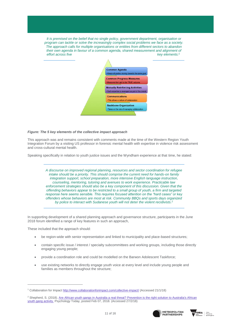*It is premised on the belief that no single policy, government department, organisation or program can tackle or solve the increasingly complex social problems we face as a society. The approach calls for multiple organisations or entities from different sectors to abandon their own agenda in favour of a common agenda, shared measurement and alignment of effort across five* key elements:<sup>*1*</sup>



#### *Figure: The 5 key elements of the collective impact approach*

This approach was and remains consistent with comments made at the time of the Western Region Youth Integration Forum by a visiting US professor in forensic mental health with expertise in violence risk assessment and cross-cultural mental health.

Speaking specifically in relation to youth justice issues and the Wyndham experience at that time, he stated:

*A discourse on improved regional planning, resources and sector coordination for refugee intake should be a priority. This should comprise the current need for hands-on family integration support, school preparation, more intensive English language instruction, counseling, mentoring, tutoring and avenues to work experience. Practicable law enforcement strategies should also be a key component of this discussion. Given that the offending behaviors appear to be restricted to a small group of youth, a firm and targeted response here seems sensible. This requires focused attention on the "hard cases" or key offenders whose behaviors are most at risk. Community BBQs and sports days organized by police to interact with Sudanese youth will not deter the violent recidivists.<sup>2</sup>*

In supporting development of a shared planning approach and governance structure, participants in the June 2018 forum identified a range of key features in such an approach,

These included that the approach should:

 $\overline{a}$ 

- be region-wide with senior representation and linked to municipality and place-based structures;
- contain specific issue / interest / specialty subcommittees and working groups, including those directly engaging young people;
- provide a coordination role and could be modelled on the Barwon Adolescent Taskforce;
- use existing networks to directly engage youth voice at every level and include young people and families as members throughout the structure;

<sup>&</sup>lt;sup>2</sup> Shepherd, S. (2018). Are African youth gangs in Australia a real threat? Prevention is the right solution to Australia's African [youth gang activity.](https://www.psychologytoday.com/blog/prevention-now/201802/are-african-youth-gangs-in-australia-real-threat) Psychology Today, posted Feb 07, 2018. (Accessed 27/2/18)





<sup>1</sup> Collaboration for Impact<http://www.collaborationforimpact.com/collective-impact/> (Accessed 21/1/18)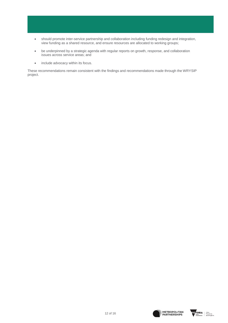- should promote inter-service partnership and collaboration including funding redesign and integration, view funding as a shared resource, and ensure resources are allocated to working groups;
- be underpinned by a strategic agenda with regular reports on growth, response, and collaboration issues across service areas; and
- include advocacy within its focus.

These recommendations remain consistent with the findings and recommendations made through the WRYSIP project.



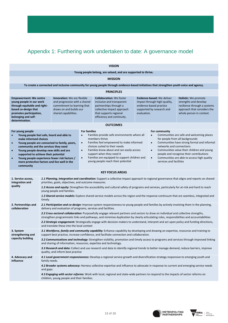### Appendix 1: Furthering work undertaken to date: A governance model

| <b>VISION</b>                                                                                                                                                                                                                                                                                                                                                                                                                      |                                                                                                                                                                                                                                                                                                                                                                                                                                                                                                                                       |                                                                                                                                                       |                                                                                                                                                                                                                                                                                                                                                                                                                                                                                                                                                                                                                                                                                                                                                                                             |                                                                                                                                                                              |                                                                                                                                   |  |                                                                                                                                                 |  |
|------------------------------------------------------------------------------------------------------------------------------------------------------------------------------------------------------------------------------------------------------------------------------------------------------------------------------------------------------------------------------------------------------------------------------------|---------------------------------------------------------------------------------------------------------------------------------------------------------------------------------------------------------------------------------------------------------------------------------------------------------------------------------------------------------------------------------------------------------------------------------------------------------------------------------------------------------------------------------------|-------------------------------------------------------------------------------------------------------------------------------------------------------|---------------------------------------------------------------------------------------------------------------------------------------------------------------------------------------------------------------------------------------------------------------------------------------------------------------------------------------------------------------------------------------------------------------------------------------------------------------------------------------------------------------------------------------------------------------------------------------------------------------------------------------------------------------------------------------------------------------------------------------------------------------------------------------------|------------------------------------------------------------------------------------------------------------------------------------------------------------------------------|-----------------------------------------------------------------------------------------------------------------------------------|--|-------------------------------------------------------------------------------------------------------------------------------------------------|--|
| Young people belong, are valued, and are supported to thrive.                                                                                                                                                                                                                                                                                                                                                                      |                                                                                                                                                                                                                                                                                                                                                                                                                                                                                                                                       |                                                                                                                                                       |                                                                                                                                                                                                                                                                                                                                                                                                                                                                                                                                                                                                                                                                                                                                                                                             |                                                                                                                                                                              |                                                                                                                                   |  |                                                                                                                                                 |  |
| <b>MISSION</b>                                                                                                                                                                                                                                                                                                                                                                                                                     |                                                                                                                                                                                                                                                                                                                                                                                                                                                                                                                                       |                                                                                                                                                       |                                                                                                                                                                                                                                                                                                                                                                                                                                                                                                                                                                                                                                                                                                                                                                                             |                                                                                                                                                                              |                                                                                                                                   |  |                                                                                                                                                 |  |
| To create a connected and inclusive community for young people through evidence-based initiatives that strengthen youth voice and agency.                                                                                                                                                                                                                                                                                          |                                                                                                                                                                                                                                                                                                                                                                                                                                                                                                                                       |                                                                                                                                                       |                                                                                                                                                                                                                                                                                                                                                                                                                                                                                                                                                                                                                                                                                                                                                                                             |                                                                                                                                                                              |                                                                                                                                   |  |                                                                                                                                                 |  |
| <b>PRINCIPLES</b>                                                                                                                                                                                                                                                                                                                                                                                                                  |                                                                                                                                                                                                                                                                                                                                                                                                                                                                                                                                       |                                                                                                                                                       |                                                                                                                                                                                                                                                                                                                                                                                                                                                                                                                                                                                                                                                                                                                                                                                             |                                                                                                                                                                              |                                                                                                                                   |  |                                                                                                                                                 |  |
| <b>Empowerment: We centre</b><br>young people in our work<br>through equitable and right-<br>based co-design that<br>promotes participation,<br>belonging and self-<br>determination.                                                                                                                                                                                                                                              |                                                                                                                                                                                                                                                                                                                                                                                                                                                                                                                                       | <b>Innovation:</b> We are flexible<br>and progressive with a shared<br>commitment to learning that<br>draws on and builds our<br>shared capabilities. |                                                                                                                                                                                                                                                                                                                                                                                                                                                                                                                                                                                                                                                                                                                                                                                             | <b>Collaboration:</b> We foster<br>inclusive and transparent<br>partnerships through a<br>collective impact approach<br>that supports regional<br>efficiency and continuity. | Evidence-based: We deliver<br>impact through high-quality,<br>evidence-based practice<br>supported by research and<br>evaluation. |  | <b>Holistic:</b> We promote<br>strengths and develop<br>resilience through a systems<br>approach that considers the<br>whole person in context. |  |
| <b>OUTCOMES</b>                                                                                                                                                                                                                                                                                                                                                                                                                    |                                                                                                                                                                                                                                                                                                                                                                                                                                                                                                                                       |                                                                                                                                                       |                                                                                                                                                                                                                                                                                                                                                                                                                                                                                                                                                                                                                                                                                                                                                                                             |                                                                                                                                                                              |                                                                                                                                   |  |                                                                                                                                                 |  |
| For young people<br>$\bullet$<br>Young people feel safe, heard and able to<br>make informed choices<br>Young people are connected to family, peers,<br>$\bullet$<br>community and the services they need<br>Young people develop new skills and are<br>$\bullet$<br>supported to achieve their potential<br>Young people experience fewer risk factors /<br>$\bullet$<br>more protective factors and live well in the<br>community |                                                                                                                                                                                                                                                                                                                                                                                                                                                                                                                                       |                                                                                                                                                       | <b>For families</b><br>For community<br>Families provide safe environments where all<br>Communities are safe and welcoming places<br>$\bullet$<br>$\bullet$<br>members thrive<br>for people from all backgrounds<br>Communities have strong formal and informal<br>Families feel empowered to make informed<br>$\bullet$<br>$\bullet$<br>choices suited to their needs<br>networks and connections<br>Families know about and can easily access<br>Communities value their children and young<br>$\bullet$<br>$\bullet$<br>support when they need it<br>people and recognise their contributions<br>Families are equipped to support children and<br>Communities are able to access high quality<br>$\bullet$<br>$\bullet$<br>young people reach their potential<br>services and facilities |                                                                                                                                                                              |                                                                                                                                   |  |                                                                                                                                                 |  |
| <b>KEY FOCUS AREAS</b>                                                                                                                                                                                                                                                                                                                                                                                                             |                                                                                                                                                                                                                                                                                                                                                                                                                                                                                                                                       |                                                                                                                                                       |                                                                                                                                                                                                                                                                                                                                                                                                                                                                                                                                                                                                                                                                                                                                                                                             |                                                                                                                                                                              |                                                                                                                                   |  |                                                                                                                                                 |  |
| 1. Service access,<br>integration and<br>quality                                                                                                                                                                                                                                                                                                                                                                                   | 1.1 Planning, integration and coordination: Support a collective impact approach to regional governance that aligns and reports on shared<br>priorities, goals, objectives, and outcome measures.<br>1.2 Access and equity: Strengthen the accessibility and cultural safety of programs and services, particularly for at-risk and hard to reach<br>young people and families.<br>1.3 Shared service models: Explore shared service models across the region and the response continuum that are seamless, integrated and<br>timely. |                                                                                                                                                       |                                                                                                                                                                                                                                                                                                                                                                                                                                                                                                                                                                                                                                                                                                                                                                                             |                                                                                                                                                                              |                                                                                                                                   |  |                                                                                                                                                 |  |
| 2. Partnerships and<br>collaboration                                                                                                                                                                                                                                                                                                                                                                                               | 2.1 Participation and co-design: Improve system responsiveness to young people and families by actively involving them in the planning,<br>delivery and evaluation of programs, services and facilities.<br>2.2 Cross-sectoral collaboration: Purposefully engage relevant partners and sectors to draw on individual and collective strengths,<br>strengthen programmatic links and pathways, and minimise duplication by clearly articulating roles, responsibilities and accountabilities                                          |                                                                                                                                                       |                                                                                                                                                                                                                                                                                                                                                                                                                                                                                                                                                                                                                                                                                                                                                                                             |                                                                                                                                                                              |                                                                                                                                   |  |                                                                                                                                                 |  |
| 2.3 Strategic engagement: Strategically engage with decision-makers to understand, interpret and act upon policy and funding directions,<br>and translate these into the local context<br>.<br>$\sim$ $\sim$ $\sim$ $\sim$ $\sim$ $\sim$ $\sim$<br>the contract of the contract of the contract of the contract of the contract of the contract of the contract of                                                                 |                                                                                                                                                                                                                                                                                                                                                                                                                                                                                                                                       |                                                                                                                                                       |                                                                                                                                                                                                                                                                                                                                                                                                                                                                                                                                                                                                                                                                                                                                                                                             |                                                                                                                                                                              |                                                                                                                                   |  |                                                                                                                                                 |  |

**3. System strengthening and capacity building** *3.1 Workforce, family and community capability:* Enhance capability by developing and drawing on expertise, resources and training to support best practice, increase confidence, and facilitate connection and collaboration.

*3.2 Communications and technology:* Strengthen visibility, promotion and timely access to programs and services through improved linking and sharing of information, resources, expertise and technology.

*3.3 Research and data:* Collect and use research and data to identify regional trends to better manage demand, reduce barriers, improve quality, and inform best practice

**4. Advocacy and influence** *4.1 Local government responsiveness:* Develop a regional service growth and diversification strategy responsive to emerging youth and family needs.

> *4.2 Broader systems advocacy:* Harness collective expertise and influence to advocate in response to current and emerging service needs and gaps.

4.3 Engaging with sector reforms: Work with local, regional and state-wide partners to respond to the impacts of sector reforms on children, young people and their families.



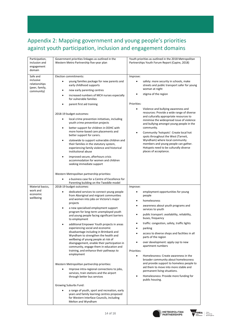### Appendix 2: Mapping government and young people's priorities against youth participation, inclusion and engagement domains

| Participation,<br>inclusion and<br>engagement<br>domain | Government priorities linkages as outlined in the<br>Western Metro Partnership five-year plan                                                                      | Youth priorities as outlined in the 2018 Metropolitan<br>Partnerships Youth Forum Report (Capire, 2018)                                   |  |  |
|---------------------------------------------------------|--------------------------------------------------------------------------------------------------------------------------------------------------------------------|-------------------------------------------------------------------------------------------------------------------------------------------|--|--|
| Safe and                                                | Election commitments:                                                                                                                                              | Improve:                                                                                                                                  |  |  |
| inclusive<br>relationships<br>(peer, family,            | young families package for new parents and<br>early childhood supports                                                                                             | safety: more security in schools, make<br>$\bullet$<br>streets and public transport safer for young<br>woman at night                     |  |  |
| community)                                              | new early parenting centres<br>٠                                                                                                                                   | stigma of the region                                                                                                                      |  |  |
|                                                         | increased numbers of MCH nurses especially<br>٠<br>for vulnerable families                                                                                         |                                                                                                                                           |  |  |
|                                                         | parent first aid training<br>٠                                                                                                                                     | Priorities:                                                                                                                               |  |  |
|                                                         | 2018-19 budget outcomes:                                                                                                                                           | Violence and bullying awareness and<br>$\bullet$<br>resources: Provide a wide range of diverse                                            |  |  |
|                                                         | local crime prevention initiatives, including<br>youth crime prevention projects                                                                                   | and culturally appropriate resources to<br>minimise the widespread issue of violence                                                      |  |  |
|                                                         | better support for children in OOHC with<br>٠                                                                                                                      | and bullying amongst young people in the<br>community.                                                                                    |  |  |
|                                                         | more home-based care placements and<br>better support for carers.                                                                                                  | Community 'hotspots': Create local hot<br>٠<br>spots throughout the West (Tarneit,                                                        |  |  |
|                                                         | statewide to support vulnerable children and<br>٠<br>their families in the statutory system,<br>experiencing family violence and historical<br>institutional abuse | Wyndham) where local community<br>members and young people can gather.<br>Hotspots need to be culturally diverse<br>places of acceptance. |  |  |
|                                                         | improved secure, afterhours crisis<br>٠<br>accommodation for women and children<br>seeking immediate support                                                       |                                                                                                                                           |  |  |
|                                                         | Western Metropolitan partnership priorities:                                                                                                                       |                                                                                                                                           |  |  |
|                                                         | a business case for a Centre of Excellence for                                                                                                                     |                                                                                                                                           |  |  |
| Material basics,                                        | Parenting building on the Tweddle model<br>2018-19 budget outcomes:                                                                                                | Improve:                                                                                                                                  |  |  |
| work and<br>economic<br>wellbeing                       | dedicated services to connect young people                                                                                                                         | employment opportunities for young<br>$\bullet$                                                                                           |  |  |
|                                                         | from Aboriginal and migrant communities<br>and women into jobs on Victoria's major                                                                                 | people<br>homelessness<br>$\bullet$                                                                                                       |  |  |
|                                                         | projects<br>a new specialised employment support<br>٠                                                                                                              | awareness about youth programs and<br>$\bullet$<br>services to youth                                                                      |  |  |
|                                                         | program for long-term unemployed youth<br>and young people facing significant barriers                                                                             | public transport: availability, reliability,<br>٠                                                                                         |  |  |
|                                                         | to employment                                                                                                                                                      | buses, frequency                                                                                                                          |  |  |
|                                                         | additional Empower Youth projects in areas                                                                                                                         | traffic: congestion, safety, traffic lights<br>٠                                                                                          |  |  |
|                                                         | experiencing social and economic<br>disadvantage including in Brimbank and                                                                                         | parking<br>٠                                                                                                                              |  |  |
|                                                         | Wyndham to strengthen the health and<br>wellbeing of young people at risk of                                                                                       | access to diverse shops and facilities in all<br>parts of the region                                                                      |  |  |
|                                                         | disengagement, enable their participation in<br>community, engage them in education and                                                                            | over development: apply cap to new<br>apartment numbers                                                                                   |  |  |
|                                                         | training, and enhance their pathways to                                                                                                                            | Priorities:                                                                                                                               |  |  |
|                                                         | employment                                                                                                                                                         | Homelessness: Create awareness in the<br>٠<br>broader community about homelessness                                                        |  |  |
|                                                         | Western Metropolitan partnership priorities:<br>Improve intra-regional connections to jobs,                                                                        | and provide support to homeless people to<br>aid them to move into more stable and<br>permanent living situations.                        |  |  |
|                                                         | services, train stations and the airport<br>through better bus services                                                                                            | Homelessness: Provide more funding for<br>$\bullet$<br>public housing.                                                                    |  |  |
|                                                         | Growing Suburbs Fund:                                                                                                                                              |                                                                                                                                           |  |  |
|                                                         | a range of youth, sport and recreation, early<br>years and family learning centres proposed<br>for Western Interface Councils, including<br>Melton and Wyndham     |                                                                                                                                           |  |  |